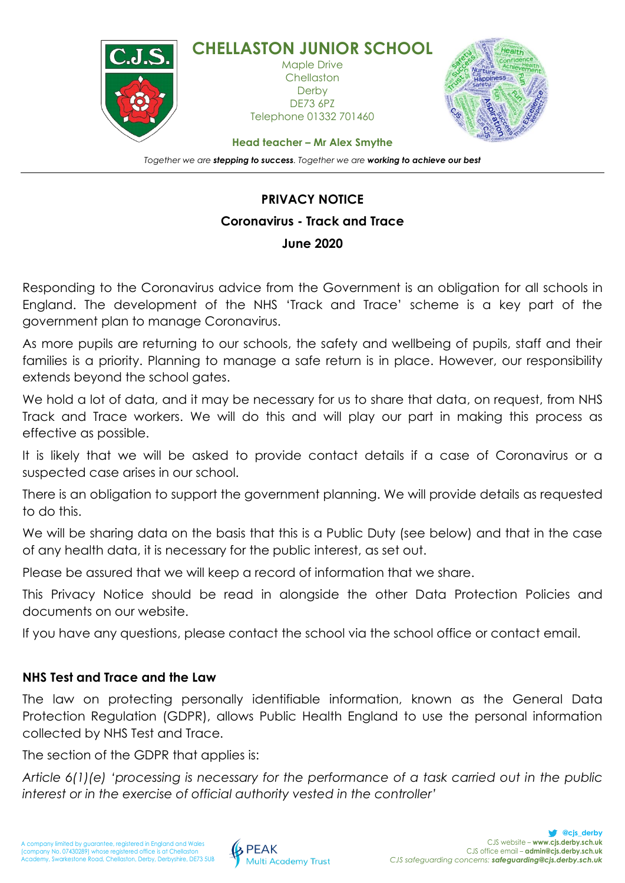

## **PRIVACY NOTICE Coronavirus - Track and Trace June 2020**

Responding to the Coronavirus advice from the Government is an obligation for all schools in England. The development of the NHS 'Track and Trace' scheme is a key part of the government plan to manage Coronavirus.

As more pupils are returning to our schools, the safety and wellbeing of pupils, staff and their families is a priority. Planning to manage a safe return is in place. However, our responsibility extends beyond the school gates.

We hold a lot of data, and it may be necessary for us to share that data, on request, from NHS Track and Trace workers. We will do this and will play our part in making this process as effective as possible.

It is likely that we will be asked to provide contact details if a case of Coronavirus or a suspected case arises in our school.

There is an obligation to support the government planning. We will provide details as requested to do this.

We will be sharing data on the basis that this is a Public Duty (see below) and that in the case of any health data, it is necessary for the public interest, as set out.

Please be assured that we will keep a record of information that we share.

This Privacy Notice should be read in alongside the other Data Protection Policies and documents on our website.

If you have any questions, please contact the school via the school office or contact email.

## **NHS Test and Trace and the Law**

The law on protecting personally identifiable information, known as the General Data Protection Regulation (GDPR), allows Public Health England to use the personal information collected by NHS Test and Trace.

The section of the GDPR that applies is:

*Article 6(1)(e) 'processing is necessary for the performance of a task carried out in the public interest or in the exercise of official authority vested in the controller'*